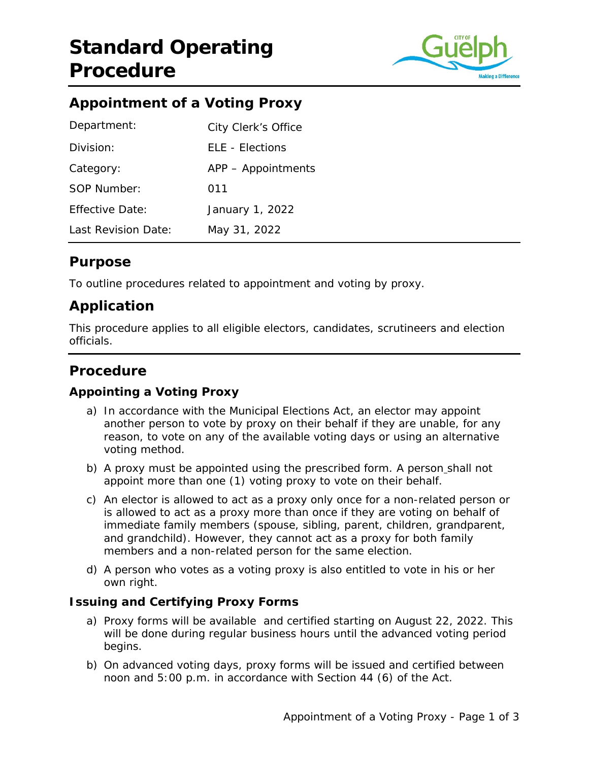

# **Appointment of a Voting Proxy**

| Department:            | City Clerk's Office |
|------------------------|---------------------|
| Division:              | ELE - Elections     |
| Category:              | APP - Appointments  |
| SOP Number:            | 011                 |
| <b>Effective Date:</b> | January 1, 2022     |
| Last Revision Date:    | May 31, 2022        |

### **Purpose**

To outline procedures related to appointment and voting by proxy.

# **Application**

This procedure applies to all eligible electors, candidates, scrutineers and election officials.

### **Procedure**

### **Appointing a Voting Proxy**

- a) In accordance with the Municipal Elections Act, an elector may appoint another person to vote by proxy on their behalf if they are unable, for any reason, to vote on any of the available voting days or using an alternative voting method.
- b) A proxy must be appointed using the prescribed form. A person shall not appoint more than one (1) voting proxy to vote on their behalf.
- c) An elector is allowed to act as a proxy only once for a non-related person or is allowed to act as a proxy more than once if they are voting on behalf of immediate family members (spouse, sibling, parent, children, grandparent, and grandchild). However, they cannot act as a proxy for both family members and a non-related person for the same election.
- d) A person who votes as a voting proxy is also entitled to vote in his or her own right.

### **Issuing and Certifying Proxy Forms**

- a) Proxy forms will be available and certified starting on August 22, 2022. This will be done during regular business hours until the advanced voting period begins.
- b) On advanced voting days, proxy forms will be issued and certified between noon and 5:00 p.m. in accordance with Section 44 (6) of the Act.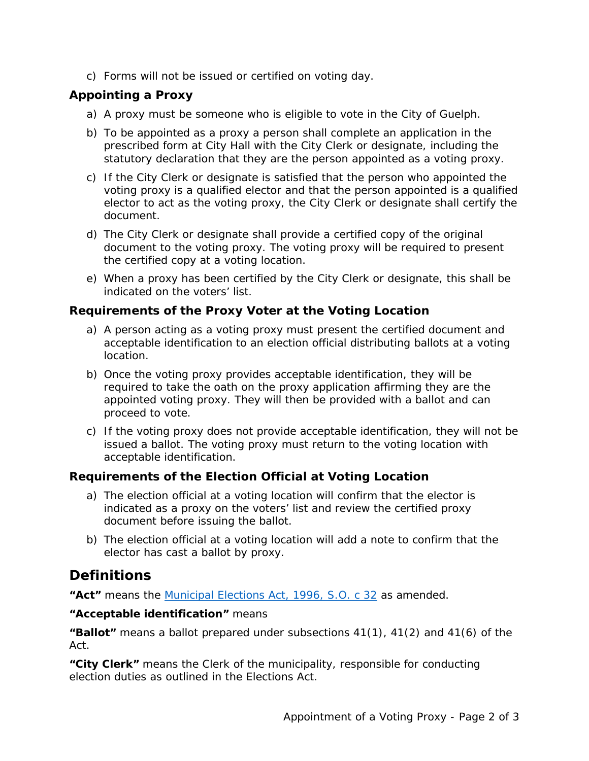c) Forms will not be issued or certified on voting day.

### **Appointing a Proxy**

- a) A proxy must be someone who is eligible to vote in the City of Guelph.
- b) To be appointed as a proxy a person shall complete an application in the prescribed form at City Hall with the City Clerk or designate, including the statutory declaration that they are the person appointed as a voting proxy.
- c) If the City Clerk or designate is satisfied that the person who appointed the voting proxy is a qualified elector and that the person appointed is a qualified elector to act as the voting proxy, the City Clerk or designate shall certify the document.
- d) The City Clerk or designate shall provide a certified copy of the original document to the voting proxy. The voting proxy will be required to present the certified copy at a voting location.
- e) When a proxy has been certified by the City Clerk or designate, this shall be indicated on the voters' list.

#### **Requirements of the Proxy Voter at the Voting Location**

- a) A person acting as a voting proxy must present the certified document and acceptable identification to an election official distributing ballots at a voting location.
- b) Once the voting proxy provides acceptable identification, they will be required to take the oath on the proxy application affirming they are the appointed voting proxy. They will then be provided with a ballot and can proceed to vote.
- c) If the voting proxy does not provide acceptable identification, they will not be issued a ballot. The voting proxy must return to the voting location with acceptable identification.

#### **Requirements of the Election Official at Voting Location**

- a) The election official at a voting location will confirm that the elector is indicated as a proxy on the voters' list and review the certified proxy document before issuing the ballot.
- b) The election official at a voting location will add a note to confirm that the elector has cast a ballot by proxy.

### **Definitions**

**"Act"** means the [Municipal Elections Act, 1996, S.O. c 32](https://www.ontario.ca/laws/statute/96m32#top) as amended.

#### **"Acceptable identification"** means

**"Ballot"** means a ballot prepared under subsections 41(1), 41(2) and 41(6) of the Act.

**"City Clerk"** means the Clerk of the municipality, responsible for conducting election duties as outlined in the Elections Act.